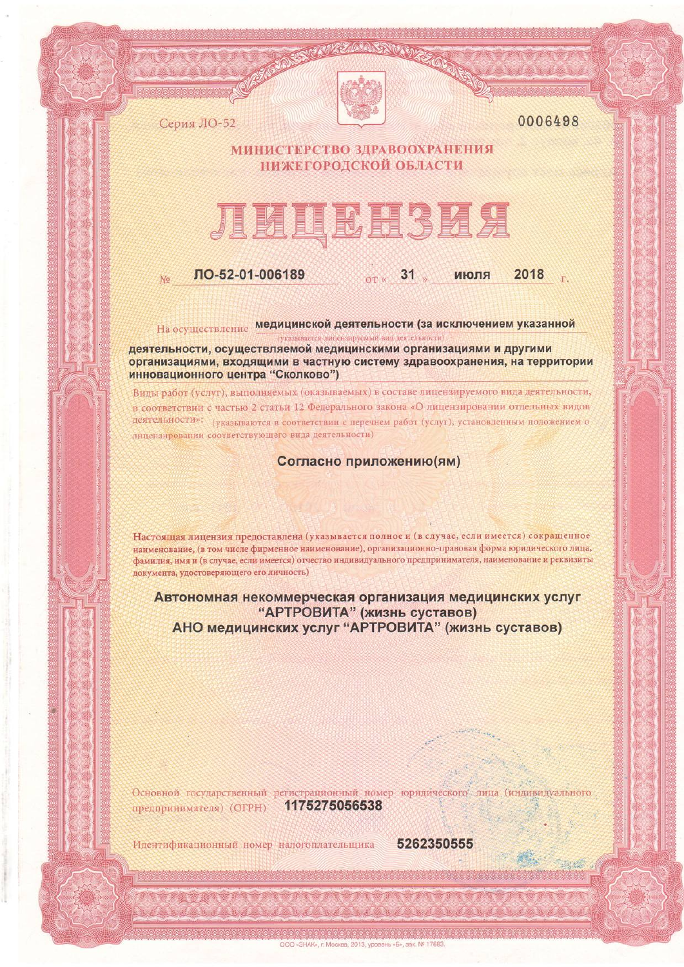

0006498

2018

июля

## МИНИСТЕРСТВО ЗДРАВООХРАНЕНИЯ НИЖЕГОРОДСКОЙ ОБЛАСТИ

## ЛИЦЕНЗИЯ

ЛО-52-01-006189

Серия ЛО-52

 $N<sub>0</sub>$ 

На осуществление медицинской деятельности (за исключением указанной

**OT**<sup>K</sup>

 $31$ 

деятельности, осуществляемой медицинскими организациями и другими организациями, входящими в частную систему здравоохранения, на территории инновационного центра "Сколково")

Виды работ (услуг), выполняемых (оказываемых) в составе лицензируемого вида деятельности, в соответствии с частью 2 статьи 12 Федерального закона «О лицензировании отдельных видов деятельности»: (указываются в соответствии с перечнем работ (услуг), установленным положением о лицензировании соответствующего вида деятельности)

Согласно приложению (ям)

Настоящая лицензия предоставлена (указывается полное и (в случае, если имеется) сокращенное наименование, (в том числе фирменное наименование), организационно-правовая форма юридического лица, фамилия, имя и (в случае, если имеется) отчество индивидуального предпринимателя, наименование и реквизиты документа, удостоверяющего его личность)

Автономная некоммерческая организация медицинских услуг "АРТРОВИТА" (жизнь суставов)<br>АНО медицинских услуг "АРТРОВИТА" (жизнь суставов)

Основной государственный регистрационный номер юридического лица (индивидуального предпринимателя) (ОГРН)

1175275056538

ООО «ЗНАК», г. Москва, 2013, уровень «Б», зак. № 17683

Идентификационный номер налогоплательщика

5262350555